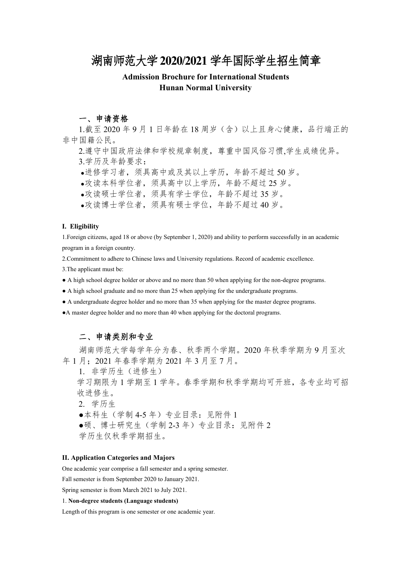## 湖南师范大学**2020/2021**学年国际学生招生简章

## **Admission Brochure for International Students Hunan Normal University**

## 一、申请资格

1.截至 2020 年 9 月 1 日年龄在 18 周岁(含)以上且身心健康,品行端正的 非中国籍公民。

2.遵守中国政府法律和学校规章制度,尊重中国风俗习惯,学生成绩优异。

3.学历及年龄要求:

●进修学习者,须具高中或及其以上学历,年龄不超过 50 岁。

●攻读本科学位者,须具高中以上学历,年龄不超过 25 岁。

●攻读硕士学位者,须具有学士学位,年龄不超过 35 岁。

●攻读博士学位者,须具有硕士学位,年龄不超过 40 岁。

## **I. Eligibility**

1.Foreign citizens, aged 18 or above (by September 1, 2020) and ability to perform successfully in an academic program in a foreign country.

2.Commitment to adhere to Chinese laws and University regulations. Record of academic excellence.

3.The applicant must be:

● A high school degree holder or above and no more than 50 when applying for the non-degree programs.

● A high school graduate and no more than 25 when applying for the undergraduate programs.

● A undergraduate degree holder and no more than 35 when applying for the master degree programs.

●A master degree holder and no more than 40 when applying for the doctoral programs.

## 二、申请类别和专业

湖南师范大学每学年分为春、秋季两个学期。2020 年秋季学期为 9 月至次 年 1 月;2021 年春季学期为 2021 年 3 月至 7 月。

1. 非学历生(进修生)

学习期限为 1 学期至 1 学年。春季学期和秋季学期均可开班,各专业均可招 收进修生。

2. 学历生

●本科生(学制 4-5 年)专业目录:见附件 1

●硕、博士研究生(学制 2-3 年)专业目录:见附件 2

学历生仅秋季学期招生。

## **II. Application Categories and Majors**

One academic year comprise a fall semester and a spring semester.

Fall semester is from September 2020 to January 2021.

Spring semester is from March 2021 to July 2021.

## 1. **Non-degree students (Language students)**

Length of this program is one semester or one academic year.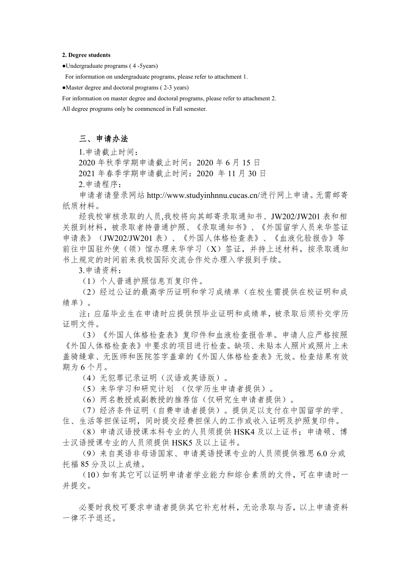#### **2. Degree students**

●Undergraduate programs ( 4 -5years)

For information on undergraduate programs, please refer to attachment 1.

●Master degree and doctoral programs ( 2-3 years)

For information on master degree and doctoral programs, please refer to attachment 2.

All degree programs only be commenced in Fall semester.

## 三、申请办法

1.申请截止时间:

2020 年秋季学期申请截止时间:2020 年 6 月 15 日

2021 年春季学期申请截止时间:2020 年 11 月 30 日

2.申请程序:

申请者请登录网站 http://www.studyinhnnu.cucas.cn/进行网上申请。无需邮寄 纸质材料。

经我校审核录取的人员,我校将向其邮寄录取通知书、JW202/JW201 表和相 关报到材料,被录取者持普通护照、《录取通知书》、《外国留学人员来华签证 申请表》(JW202/JW201 表)、《外国人体格检查表》、《血液化验报告》等 前往中国驻外使(领)馆办理来华学习(X)签证,并持上述材料,按录取通知 书上规定的时间前来我校国际交流合作处办理入学报到手续。

3.申请资料:

(1)个人普通护照信息页复印件。

(2)经过公证的最高学历证明和学习成绩单(在校生需提供在校证明和成 绩单)。

注:应届毕业生在申请时应提供预毕业证明和成绩单,被录取后须补交学历 证明文件。

(3)《外国人体格检查表》复印件和血液检查报告单。申请人应严格按照 《外国人体格检查》中要求的项目进行检查。缺项、未贴本人照片或照片上未 盖骑缝章、无医师和医院签字盖章的《外国人体格检查表》无效。检查结果有效 期为 6 个月。

(4)无犯罪记录证明(汉语或英语版)。

(5)来华学习和研究计划 (仅学历生申请者提供)。

(6)两名教授或副教授的推荐信(仅研究生申请者提供)。

(7)经济条件证明(自费申请者提供)。提供足以支付在中国留学的学、

住、生活等担保证明,同时提交经费担保人的工作或收入证明及护照复印件。 (8)申请汉语授课本科专业的人员须提供 HSK4 及以上证书;申请硕、博 士汉语授课专业的人员须提供 HSK5 及以上证书。

(9)来自英语非母语国家、申请英语授课专业的人员须提供雅思 6.0 分或 托福 85 分及以上成绩。

(10)如有其它可以证明申请者学业能力和综合素质的文件,可在申请时一 并提交。

必要时我校可要求申请者提供其它补充材料,无论录取与否,以上申请资料 一律不予退还。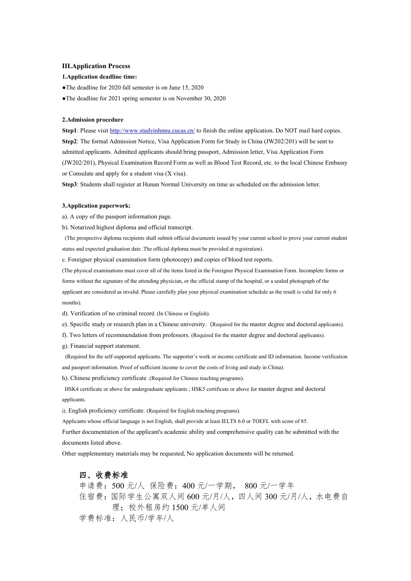#### **III.Application Process**

#### **1.Application deadline time:**

●The deadline for 2020 fall semester is on June 15, 2020

●The deadline for 2021 spring semester is on November 30,2020

### **2.Admission procedure**

**Step1**: Please visit <http://www.studyinhnnu.cucas.cn/> to finish the online application. Do NOT mail hard copies. **Step2**: The formal Admission Notice, Visa Application Form for Study in China (JW202/201) will be sent to admitted applicants. Admitted applicants should bring passport, Admission letter, Visa Application Form (JW202/201), Physical Examination Record Form as well as Blood Test Record, etc. to the local Chinese Embassy or Consulate and apply for a student visa  $(X$  visa).

Step3: Students shall register at Hunan Normal University on time as scheduled on the admission letter.

#### **3.Application paperwork:**

a). A copy of the passport information page.

b). Notarized highest diploma and official transcript.

(The prospective diploma recipients shall submit official documents issued by your current school to prove your current student status and expected graduation date .The official diploma must be provided at registration).

c. Foreigner physical examination form (photocopy) and copies of blood test reports.

(The physical examinations mustcover all of the items listed in the Foreigner Physical Examination Form. Incomplete forms or forms without the signature of the attending physician, or the official stamp of the hospital, or a sealed photograph of the applicant are considered as invalid. Please carefully plan your physical examination schedule asthe result is valid for only 6 months).

d). Verification of no criminal record. (In Chinese or English).

e). Specific study or research plan in a Chinese university.(Required for the master degree and doctoral applicants).

- f). Two letters of recommendation from professors. (Required for the master degree and doctoral applicants).
- g). Financial support statement.

(Required for the self-supported applicants. The supporter's work or income certificate and ID information. Income verification and passport information. Proof of sufficient income to cover the costs ofliving and study in China).

h). Chinese proficiency certificate .(Required for Chinese teaching programs).

HSK4 certificate or above for undergraduate applicants ; HSK5 certificate or above for master degree and doctoral applicants.

i). English proficiency certificate. (Required for English teaching programs).

Applicants whose official language is not English, shall provide at least IELTS 6.0 or TOEFL with score of 85.

Further documentation of the applicant's academic ability and comprehensive quality can be submitted with the documents listed above.

Other supplementary materials may be requested, No application documents will be returned.

## 四、收费标准

申请费:500 元/人 保险费:400 元/一学期, 800 元/一学年 住宿费:国际学生公寓双人间 600 元/月/人,四人间 300 元/月/人,水电费自 理;校外租房约 1500 元/单人间 学费标准:人民币/学年/人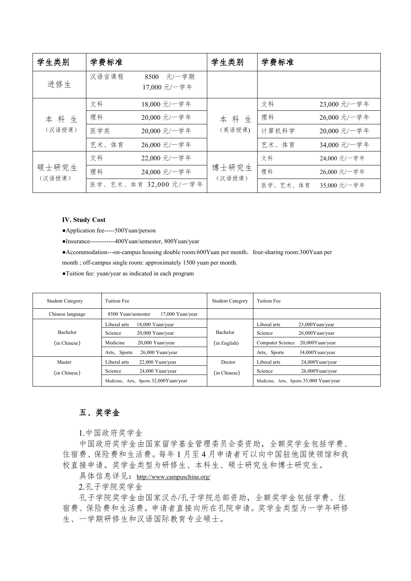| 学生类别   | 学费标准  |                               | 学生类别   | 学费标准     |              |
|--------|-------|-------------------------------|--------|----------|--------------|
| 进修生    | 汉语言课程 | 元/一学期<br>8500<br>17,000 元/一学年 |        |          |              |
|        | 文科    | 18,000 元/一学年                  |        | 文科       | 23,000 元/一学年 |
| 本科生    | 理科    | 20,000 元/一学年                  | 本科生    | 理科       | 26,000 元/一学年 |
| (汉语授课) | 医学类   | 20,000 元/一学年                  | (英语授课) | 计算机科学    | 20,000 元/一学年 |
|        | 艺术、体育 | 26,000 元/一学年                  |        | 艺术、体育    | 34,000 元/一学年 |
|        | 文科    | 22,000 元/一学年                  |        | 文科       | 24,000 元/一学年 |
| 硕士研究生  | 理科    | 24,000 元/一学年                  | 博士研究生  | 理科       | 26,000 元/一学年 |
| (汉语授课) |       | 医学、艺术、体育 32,000 元/一学年         | (汉语授课) | 医学、艺术、体育 | 35,000 元/一学年 |

## **IV. Study Cost**

●Application fee-----500Yuan/person

●Insurance------------400Yuan/semester, 800Yuan/year

●Accommodation---on-campus housing double room:600Yuan per month, four-sharing room:300Yuan per

month ; off-campus single room: approximately 1500 yuan per month.

●Tuition fee: yuan/year as indicated in each program

| <b>Student Category</b> | <b>Tuition Fee</b>                     | <b>Student Category</b> | Tuition Fee                             |
|-------------------------|----------------------------------------|-------------------------|-----------------------------------------|
| Chinese language        | 8500 Yuan/semester<br>17,000 Yuan/year |                         |                                         |
|                         | Liberal arts<br>18,000 Yuan/year       |                         | Liberal arts<br>$23,000$ Yuan/year      |
| Bachelor                | Science<br>$20,000$ Yuan/year          | Bachelor                | Science<br>$26,000$ Yuan/year           |
| (in Chinese)            | Medicine<br>20,000 Yuan/year           | (in English)            | Computer Science<br>$20,000$ Yuan/year  |
|                         | Arts, Sports<br>26,000 Yuan/year       |                         | Arts, Sports<br>34,000Yuan/year         |
| Master                  | Liberal arts<br>$22,000$ Yuan/year     | Doctor                  | Liberal arts<br>$24,000$ Yuan/year      |
| (in Chinese)            | Science<br>24,000 Yuan/year            | (in Chinese)            | Science<br>$26,000Y$ uan/year           |
|                         | Medicine, Arts, Sports 32,000Yuan/year |                         | Medicine, Arts, Sports 35,000 Yuan/year |

## 五、奖学金

1.中国政府奖学金

中国政府奖学金由国家留学基金管理委员会委资助,全额奖学金包括学费、 住宿费、保险费和生活费。每年 1 月至 4 月申请者可以向中国驻他国使领馆和我 校直接申请。奖学金类型为研修生、本科生、硕士研究生和博士研究生。

具体信息详见: <http://www.campuschina.org/>

2.孔子学院奖学金

孔子学院奖学金由国家汉办/孔子学院总部资助,全额奖学金包括学费、住 宿费、保险费和生活费。申请者直接向所在孔院申请。奖学金类型为一学年研修 生、一学期研修生和汉语国际教育专业硕士。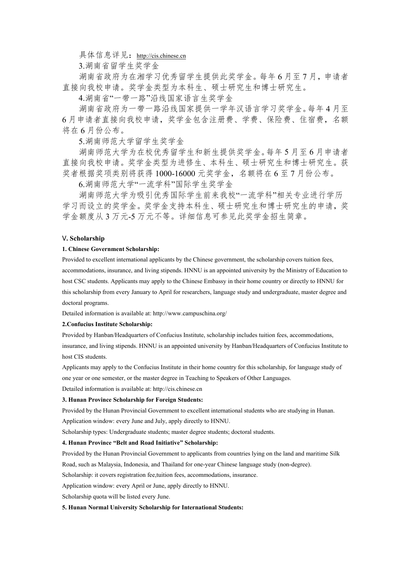具体信息详见:<http://cis.chinese.cn>

3.湖南省留学生奖学金

湖南省政府为在湘学习优秀留学生提供此奖学金。每年 6 月至 7 月,申请者 直接向我校申请。奖学金类型为本科生、硕士研究生和博士研究生。

4.湖南省"一带一路"沿线国家语言生奖学金

湖南省政府为一带一路沿线国家提供一学年汉语言学习奖学金。每年 4 月至 6 月申请者直接向我校申请,奖学金包含注册费、学费、保险费、住宿费,名额 将在 6 月份公布。

5.湖南师范大学留学生奖学金

湖南师范大学为在校优秀留学生和新生提供奖学金。每年 5 月至 6 月申请者 直接向我校申请。奖学金类型为进修生、本科生、硕士研究生和博士研究生。获 奖者根据奖项类别将获得 1000-16000 元奖学金,名额将在 6 至 7 月份公布。

6.湖南师范大学"一流学科"国际学生奖学金

湖南师范大学为吸引优秀国际学生前来我校"一流学科"相关专业进行学历 学习而设立的奖学金。奖学金支持本科生、硕士研究生和博士研究生的申请,奖 学金额度从 3 万元-5 万元不等。详细信息可参见此奖学金招生简章。

## V**. Scholarship**

#### **1. Chinese Government Scholarship:**

Provided to excellent international applicants by the Chinese government, the scholarship covers tuition fees, accommodations, insurance, and living stipends. HNNU is an appointed university by the Ministry of Education to host CSC students. Applicants may apply to the Chinese Embassy in their home country or directly to HNNU for this scholarship from every January to April for researchers, language study and undergraduate, master degree and doctoral programs.

Detailed information is available at: http://www.campuschina.org/

## **2.Confucius Institute Scholarship:**

Provided by Hanban/Headquarters of Confucius Institute, scholarship includes tuition fees, accommodations, insurance, and living stipends. HNNU is an appointed university by Hanban/Headquarters of Confucius Institute to host CIS students.

Applicants may apply to the Confucius Institute in their home country for this scholarship, for language study of

one year or one semester, or the master degree in Teaching to Speakers of Other Languages.

Detailed information is available at: http://cis.chinese.cn

## **3. Hunan Province Scholarship for Foreign Students:**

Provided by the Hunan Provincial Government to excellent international students who are studying in Hunan. Application window: every June and July, apply directly to HNNU.

Scholarship types: Undergraduate students; master degree students; doctoral students.

### **4. Hunan Province "Belt and Road Initiative" Scholarship:**

Provided by the Hunan Provincial Government to applicants from countries lying on the land and maritime Silk Road, such as Malaysia, Indonesia, and Thailand for one-year Chinese language study (non-degree).

Scholarship: it covers registration fee,tuition fees, accommodations, insurance.

Application window: every April or June, apply directly to HNNU.

Scholarship quota will be listed every June.

### **5. Hunan Normal University Scholarship for International Students:**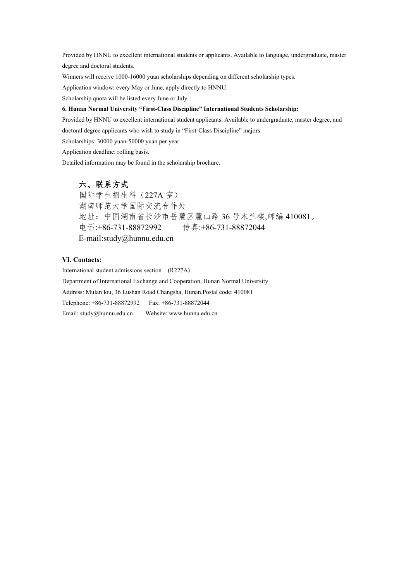Provided by HNNU to excellent international students or applicants. Available to language, undergraduate, master degree and doctoral students.

Winners will receive 1000-16000 yuan scholarships depending on different scholarship types.

Application window: every May or June, apply directly to HNNU.

Scholarship quota will be listed every June or July.

## **6. Hunan Normal University "First-Class Discipline" International Students Scholarship:**

Provided by HNNU to excellent international student applicants. Available to undergraduate, master degree, and doctoral degree applicants who wish to study in "First-Class Discipline" majors.

Scholarships: 30000 yuan-50000 yuan per year.

Application deadline: rolling basis.

Detailed information may be found in the scholarship brochure.

## 六、联系方式

国际学生招生科(227A 室) 湖南师范大学国际交流合作处 地址:中国湖南省长沙市岳麓区麓山路 36 号木兰楼,邮编 410081。 电话:+86-731-88872992 传真:+86-731-88872044 E-mail:study@hunnu.edu.cn

## **VI. Contacts:**

International student admissions section (R227A) Department of International Exchange and Cooperation, Hunan Normal University Address: Mulan lou, 36 Lushan Road Changsha, Hunan.Postal code: 410081 Telephone: +86-731-88872992 Fax: +86-731-88872044 Email: [study@hunnu.edu.cn](mailto:study@hunnu.edu.cn) Website: www.hunnu.edu.cn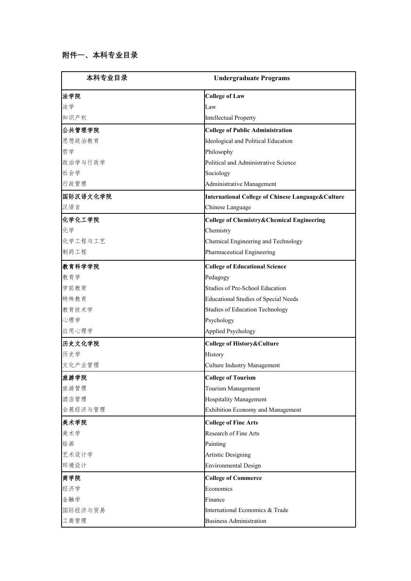| 本科专业目录   | <b>Undergraduate Programs</b>                                |
|----------|--------------------------------------------------------------|
| 法学院      | <b>College of Law</b>                                        |
| 法学       | Law                                                          |
| 知识产权     | <b>Intellectual Property</b>                                 |
| 公共管理学院   | <b>College of Public Administration</b>                      |
| 思想政治教育   | Ideological and Political Education                          |
| 哲学       | Philosophy                                                   |
| 政治学与行政学  | Political and Administrative Science                         |
| 社会学      | Sociology                                                    |
| 行政管理     | Administrative Management                                    |
| 国际汉语文化学院 | <b>International College of Chinese Language&amp;Culture</b> |
| 汉语言      | Chinese Language                                             |
| 化学化工学院   | <b>College of Chemistry&amp;Chemical Engineering</b>         |
| 化学       | Chemistry                                                    |
| 化学工程与工艺  | Chemical Engineering and Technology                          |
| 制药工程     | Pharmaceutical Engineering                                   |
| 教育科学学院   | <b>College of Educational Science</b>                        |
| 教育学      | Pedagogy                                                     |
| 学前教育     | Studies of Pre-School Education                              |
| 特殊教育     | <b>Educational Studies of Special Needs</b>                  |
| 教育技术学    | <b>Studies of Education Technology</b>                       |
| 心理学      | Psychology                                                   |
| 应用心理学    | <b>Applied Psychology</b>                                    |
| 历史文化学院   | College of History&Culture                                   |
| 历史学      | History                                                      |
| 文化产业管理   | Culture Industry Management                                  |
| 旅游学院     | College of Tourism                                           |
| 旅游管理     | Tourism Management                                           |
| 酒店管理     | Hospitality Management                                       |
| 会展经济与管理  | Exhibition Economy and Management                            |
| 美术学院     | College of Fine Arts                                         |
| 美术学      | Research of Fine Arts                                        |
| 绘画       | Painting                                                     |
| 艺术设计学    | <b>Artistic Designing</b>                                    |
| 环境设计     | <b>Environmental Design</b>                                  |
| 商学院      | <b>College of Commerce</b>                                   |
| 经济学      | Economics                                                    |
| 金融学      | Finance                                                      |
| 国际经济与贸易  | International Economics & Trade                              |
| 工商管理     | <b>Business Administration</b>                               |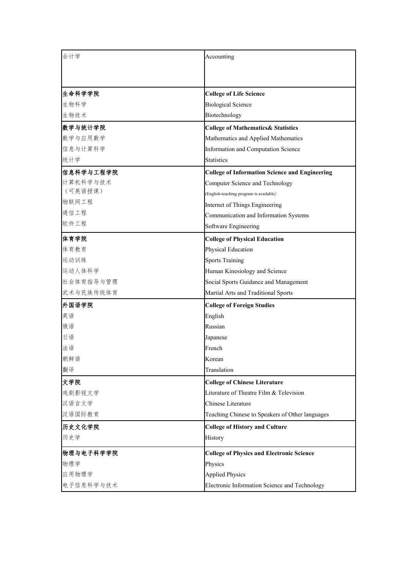| 会计学       | Accounting                                            |
|-----------|-------------------------------------------------------|
|           |                                                       |
|           |                                                       |
| 生命科学学院    | <b>College of Life Science</b>                        |
| 生物科学      | <b>Biological Science</b>                             |
| 生物技术      | Biotechnology                                         |
| 数学与统计学院   | <b>College of Mathematics&amp; Statistics</b>         |
| 数学与应用数学   | Mathematics and Applied Mathematics                   |
| 信息与计算科学   | Information and Computation Science                   |
| 统计学       | <b>Statistics</b>                                     |
| 信息科学与工程学院 | <b>College of Information Science and Engineering</b> |
| 计算机科学与技术  | Computer Science and Technology                       |
| (可英语授课)   | (English-teaching program is available)               |
| 物联网工程     | Internet of Things Engineering                        |
| 通信工程      | Communication and Information Systems                 |
| 软件工程      | Software Engineering                                  |
| 体育学院      | <b>College of Physical Education</b>                  |
| 体育教育      | Physical Education                                    |
| 运动训练      | <b>Sports Training</b>                                |
| 运动人体科学    | Human Kinesiology and Science                         |
| 社会体育指导与管理 | Social Sports Guidance and Management                 |
| 武术与民族传统体育 | Martial Arts and Traditional Sports                   |
| 外国语学院     | <b>College of Foreign Studies</b>                     |
| 英语        | English                                               |
| 俄语        | Russian                                               |
| 日语        | Japanese                                              |
| 法语        | French                                                |
| 朝鲜语       | Korean                                                |
| 翻译        | Translation                                           |
| 文学院       | <b>College of Chinese Literature</b>                  |
| 戏剧影视文学    | Literature of Theatre Film & Television               |
| 汉语言文学     | Chinese Literature                                    |
| 汉语国际教育    | Teaching Chinese to Speakers of Other languages       |
| 历史文化学院    | <b>College of History and Culture</b>                 |
| 历史学       | History                                               |
| 物理与电子科学学院 | <b>College of Physics and Electronic Science</b>      |
| 物理学       | Physics                                               |
| 应用物理学     | <b>Applied Physics</b>                                |
| 电子信息科学与技术 | Electronic Information Science and Technology         |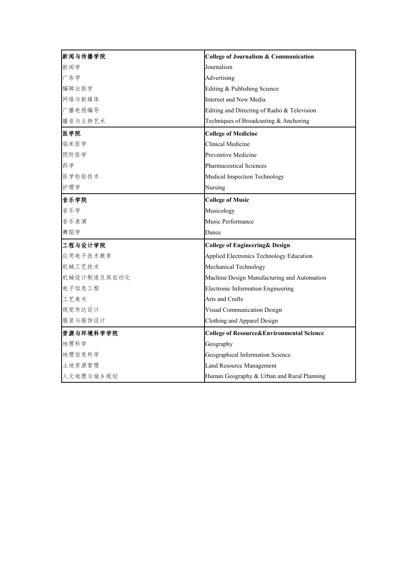| 新闻与传播学院     | College of Journalism & Communication       |
|-------------|---------------------------------------------|
| 新闻学         | Journalism                                  |
| 广告学         | Advertising                                 |
| 编辑出版学       | Editing & Publishing Science                |
| 网络与新媒体      | Internet and New Media                      |
| 广播电视编导      | Editing and Directing of Radio & Television |
| 播音与主持艺术     | Techniques of Broadcasting & Anchoring      |
| 医学院         | <b>College of Medicine</b>                  |
| 临床医学        | Clinical Medicine                           |
| 预防医学        | Preventive Medicine                         |
| 药学          | <b>Pharmaceutical Sciences</b>              |
| 医学检验技术      | Medical Inspection Technology               |
| 护理学         | Nursing                                     |
| 音乐学院        | <b>College of Music</b>                     |
| 音乐学         | Musicology                                  |
| 音乐表演        | Music Performance                           |
| 舞蹈学         | Dance                                       |
| 工程与设计学院     | College of Engineering& Design              |
| 应用电子技术教育    | Applied Electronics Technology Education    |
| 机械工艺技术      | Mechanical Technology                       |
| 机械设计制造及其自动化 | Machine Design Manufacturing and Automation |
| 电子信息工程      | Electronic Information Engineering          |
| 工艺美术        | Arts and Crafts                             |
| 视觉传达设计      | Visual Communication Design                 |
| 服装与服饰设计     | Clothing and Apparel Design                 |
| 资源与环境科学学院   | College of Resource&Environmental Science   |
| 地理科学        | Geography                                   |
| 地理信息科学      | Geographical Information Science            |
| 土地资源管理      | Land Resource Management                    |
| 人文地理与城乡规划   | Human Geography & Urban and Rural Planning  |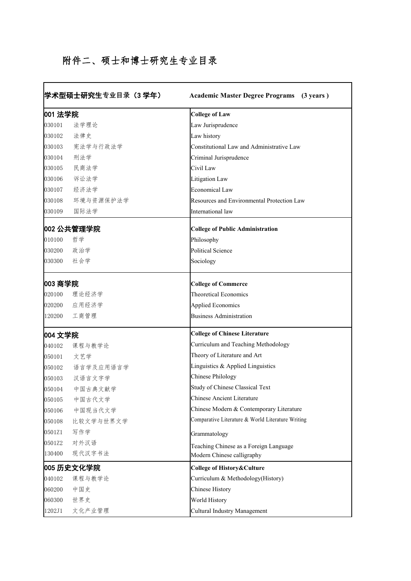## 附件二、硕士和博士研究生专业目录

|         | 学术型硕士研究生专业目录(3 学年) | <b>Academic Master Degree Programs</b> (3 years)  |
|---------|--------------------|---------------------------------------------------|
| 001 法学院 |                    | <b>College of Law</b>                             |
| 030101  | 法学理论               | Law Jurisprudence                                 |
| 030102  | 法律史                | Law history                                       |
| 030103  | 宪法学与行政法学           | Constitutional Law and Administrative Law         |
| 030104  | 刑法学                | Criminal Jurisprudence                            |
| 030105  | 民商法学               | Civil Law                                         |
| 030106  | 诉讼法学               | Litigation Law                                    |
| 030107  | 经济法学               | Economical Law                                    |
| 030108  | 环境与资源保护法学          | Resources and Environmental Protection Law        |
| 030109  | 国际法学               | International law                                 |
|         | 002 公共管理学院         | <b>College of Public Administration</b>           |
| 010100  | 哲学                 | Philosophy                                        |
| 030200  | 政治学                | Political Science                                 |
| 030300  | 社会学                | Sociology                                         |
| 003 商学院 |                    | <b>College of Commerce</b>                        |
|         | 020100 理论经济学       | <b>Theoretical Economics</b>                      |
| 020200  | 应用经济学              | Applied Economics                                 |
| 120200  | 工商管理               | <b>Business Administration</b>                    |
| 004 文学院 |                    | <b>College of Chinese Literature</b>              |
| 040102  | 课程与教学论             | Curriculum and Teaching Methodology               |
| 050101  | 文艺学                | Theory of Literature and Art                      |
| 050102  | 语言学及应用语言学          | Linguistics & Applied Linguistics                 |
| 050103  | 汉语言文字学             | Chinese Philology                                 |
| 050104  | 中国古典文献学            | Study of Chinese Classical Text                   |
| 050105  | 中国古代文学             | Chinese Ancient Literature                        |
| 050106  | 中国现当代文学            | Chinese Modern & Contemporary Literature          |
| 050108  | 比较文学与世界文学          | Comparative Literature & World Literature Writing |
| 0501Z1  | 写作学                | Grammatology                                      |
| 0501Z2  | 对外汉语               | Teaching Chinese as a Foreign Language            |
| 130400  | 现代汉字书法             | Modern Chinese calligraphy                        |
|         | 005 历史文化学院         | College of History&Culture                        |
| 040102  | 课程与教学论             | Curriculum & Methodology(History)                 |
| 060200  | 中国史                | Chinese History                                   |
| 060300  | 世界史                | World History                                     |
| 1202J1  | 文化产业管理             | Cultural Industry Management                      |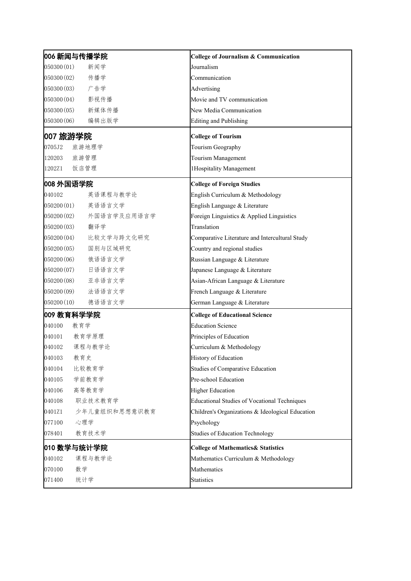| 006 新闻与传播学院               | College of Journalism & Communication            |
|---------------------------|--------------------------------------------------|
| 050300(01)<br>新闻学         | Journalism                                       |
| 传播学<br>050300(02)         | Communication                                    |
| 广告学<br>050300(03)         | Advertising                                      |
| 影视传播<br>050300(04)        | Movie and TV communication                       |
| 新媒体传播<br>050300(05)       | New Media Communication                          |
| 编辑出版学<br>050300(06)       | Editing and Publishing                           |
| 007 旅游学院                  | <b>College of Tourism</b>                        |
| 旅游地理学<br>0705J2           | Tourism Geography                                |
| 旅游管理<br>120203            | Tourism Management                               |
| 饭店管理<br>1202Z1            | 1Hospitality Management                          |
| 008 外国语学院                 | <b>College of Foreign Studies</b>                |
| 040102<br>英语课程与教学论        | English Curriculum & Methodology                 |
| 英语语言文学<br>050200(01)      | English Language & Literature                    |
| 外国语言学及应用语言学<br>050200(02) | Foreign Linguistics & Applied Linguistics        |
| 翻译学<br>050200(03)         | Translation                                      |
| 比较文学与跨文化研究<br>050200(04)  | Comparative Literature and Intercultural Study   |
| 050200(05)<br>国别与区域研究     | Country and regional studies                     |
| 俄语语言文学<br>050200(06)      | Russian Language & Literature                    |
| 日语语言文学<br>050200(07)      | Japanese Language & Literature                   |
| 亚非语言文学<br>050200(08)      | Asian-African Language & Literature              |
| 法语语言文学<br>050200(09)      | French Language & Literature                     |
| 德语语言文学<br>050200(10)      | German Language & Literature                     |
| 009 教育科学学院                | <b>College of Educational Science</b>            |
| 040100<br>教育学             | <b>Education Science</b>                         |
| 教育学原理<br>040101           | Principles of Education                          |
| 课程与教学论<br>040102          | Curriculum & Methodology                         |
| 040103<br>教育史             | History of Education                             |
| 比较教育学<br>040104           | Studies of Comparative Education                 |
| 040105<br>学前教育学           | Pre-school Education                             |
| 高等教育学<br>040106           | <b>Higher Education</b>                          |
| 040108<br>职业技术教育学         | Educational Studies of Vocational Techniques     |
| 0401Z1<br>少年儿童组织和思想意识教育   | Children's Organizations & Ideological Education |
| 077100<br>心理学             | Psychology                                       |
| 078401<br>教育技术学           | Studies of Education Technology                  |
| 010 数学与统计学院               | <b>College of Mathematics&amp; Statistics</b>    |
| 040102<br>课程与教学论          | Mathematics Curriculum & Methodology             |
| 070100<br>数学              | Mathematics                                      |
| 统计学<br>071400             | <b>Statistics</b>                                |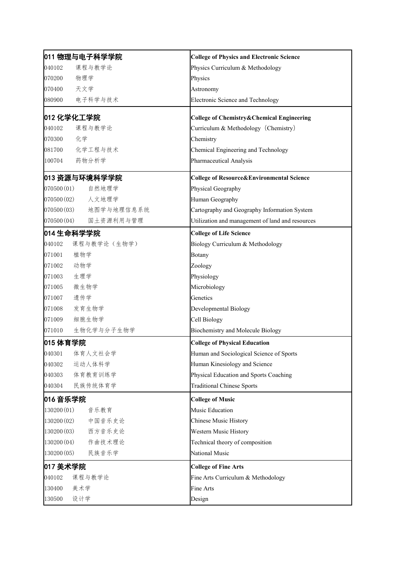| 011 物理与电子科学学院            | <b>College of Physics and Electronic Science</b>     |
|--------------------------|------------------------------------------------------|
| 课程与教学论<br>040102         | Physics Curriculum & Methodology                     |
| 物理学<br>070200            | Physics                                              |
| 天文学<br>070400            | Astronomy                                            |
| 电子科学与技术<br>080900        | Electronic Science and Technology                    |
| 012 化学化工学院               | College of Chemistry&Chemical Engineering            |
| 课程与教学论<br>040102         | Curriculum & Methodology (Chemistry)                 |
| 化学<br>070300             | Chemistry                                            |
| 化学工程与技术<br>081700        | Chemical Engineering and Technology                  |
| 药物分析学<br>100704          | Pharmaceutical Analysis                              |
| 013 资源与环境科学学院            | <b>College of Resource&amp;Environmental Science</b> |
| 070500(01)<br>自然地理学      | Physical Geography                                   |
| 070500 (02) 人文地理学        | Human Geography                                      |
| 地图学与地理信息系统<br>070500(03) | Cartography and Geography Information System         |
| 国土资源利用与管理<br>070500(04)  | Utilization and management of land and resources     |
| 014 生命科学学院               | <b>College of Life Science</b>                       |
| 课程与教学论(生物学)<br>040102    | Biology Curriculum & Methodology                     |
| 植物学<br>071001            | Botany                                               |
| 动物学<br>071002            | Zoology                                              |
| 生理学<br>071003            | Physiology                                           |
| 微生物学<br>071005           | Microbiology                                         |
| 遗传学<br>071007            | Genetics                                             |
| 发育生物学<br>071008          | Developmental Biology                                |
| 细胞生物学<br>071009          | Cell Biology                                         |
| 生物化学与分子生物学<br>071010     | Biochemistry and Molecule Biology                    |
| 015 体育学院                 | <b>College of Physical Education</b>                 |
| 体育人文社会学<br>040301        | Human and Sociological Science of Sports             |
| 040302<br>运动人体科学         | Human Kinesiology and Science                        |
| 体育教育训练学<br>040303        | Physical Education and Sports Coaching               |
| 040304<br>民族传统体育学        | <b>Traditional Chinese Sports</b>                    |
| 016 音乐学院                 | <b>College of Music</b>                              |
| 130200 (01)<br>音乐教育      | Music Education                                      |
| 130200 (02)<br>中国音乐史论    | Chinese Music History                                |
| 西方音乐史论<br>130200(03)     | Western Music History                                |
| 作曲技术理论<br>130200(04)     | Technical theory of composition                      |
| 民族音乐学<br>130200(05)      | National Music                                       |
| 017 美术学院                 | <b>College of Fine Arts</b>                          |
| 040102<br>课程与教学论         | Fine Arts Curriculum & Methodology                   |
| 美术学<br>130400            | Fine Arts                                            |
| 设计学<br>130500            | Design                                               |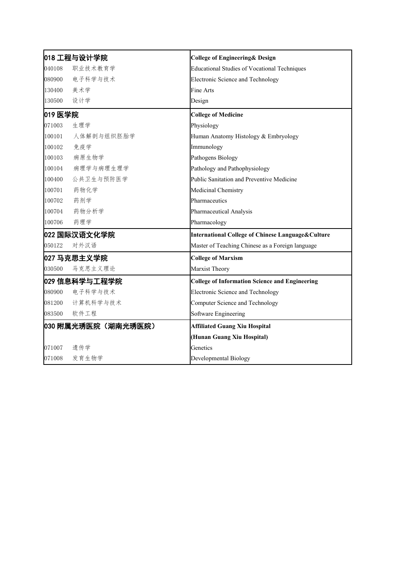|         | 018 工程与设计学院        | <b>College of Engineering &amp; Design</b>                   |
|---------|--------------------|--------------------------------------------------------------|
| 040108  | 职业技术教育学            | <b>Educational Studies of Vocational Techniques</b>          |
| 080900  | 电子科学与技术            | Electronic Science and Technology                            |
| 130400  | 美术学                | Fine Arts                                                    |
| 130500  | 设计学                | Design                                                       |
| 019 医学院 |                    | <b>College of Medicine</b>                                   |
| 071003  | 生理学                | Physiology                                                   |
| 100101  | 人体解剖与组织胚胎学         | Human Anatomy Histology & Embryology                         |
| 100102  | 免疫学                | Immunology                                                   |
| 100103  | 病原生物学              | Pathogens Biology                                            |
| 100104  | 病理学与病理生理学          | Pathology and Pathophysiology                                |
| 100400  | 公共卫生与预防医学          | Public Sanitation and Preventive Medicine                    |
| 100701  | 药物化学               | Medicinal Chemistry                                          |
| 100702  | 药剂学                | Pharmaceutics                                                |
| 100704  | 药物分析学              | Pharmaceutical Analysis                                      |
| 100706  | 药理学                | Pharmacology                                                 |
|         | 022 国际汉语文化学院       | <b>International College of Chinese Language&amp;Culture</b> |
| 0501Z2  | 对外汉语               | Master of Teaching Chinese as a Foreign language             |
|         | 027 马克思主义学院        | <b>College of Marxism</b>                                    |
| 030500  | 马克思主义理论            | Marxist Theory                                               |
|         | 029 信息科学与工程学院      | <b>College of Information Science and Engineering</b>        |
| 080900  | 电子科学与技术            | Electronic Science and Technology                            |
| 081200  | 计算机科学与技术           | Computer Science and Technology                              |
| 083500  | 软件工程               | Software Engineering                                         |
|         | 030 附属光琇医院(湖南光琇医院) | <b>Affiliated Guang Xiu Hospital</b>                         |
|         |                    | (Hunan Guang Xiu Hospital)                                   |
| 071007  | 遗传学                | Genetics                                                     |
| 071008  | 发育生物学              | Developmental Biology                                        |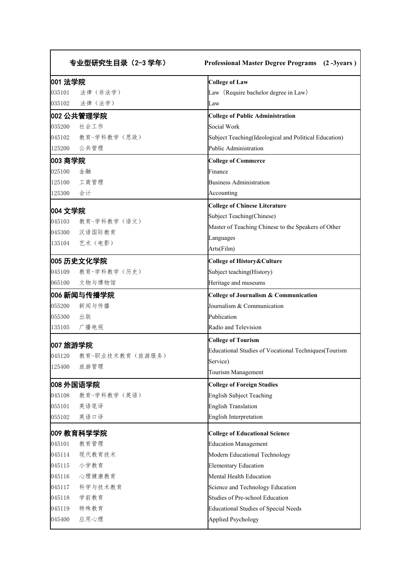| 001 法学院  |                                | <b>College of Law</b>                                 |
|----------|--------------------------------|-------------------------------------------------------|
| 035101   | 法律(非法学)                        | Law (Require bachelor degree in Law)                  |
|          | 035102 法律 (法学)                 | Law                                                   |
|          | 002 公共管理学院                     | <b>College of Public Administration</b>               |
| 035200   | 社会工作                           | Social Work                                           |
|          | 045102 教育-学科教学(思政)             | Subject Teaching(Ideological and Political Education) |
| 125200   | 公共管理                           | Public Administration                                 |
| 003 商学院  |                                | <b>College of Commerce</b>                            |
| 025100   | 金融                             | Finance                                               |
| 125100   | 工商管理                           | <b>Business Administration</b>                        |
| 125300   | 会计                             | Accounting                                            |
|          |                                | <b>College of Chinese Literature</b>                  |
| 004 文学院  | 045103 教育-学科教学(语文)             | Subject Teaching(Chinese)                             |
|          | 045300 汉语国际教育                  | Master of Teaching Chinese to the Speakers of Other   |
|          | 135104 艺术(电影)                  | Languages                                             |
|          |                                | Arts(Film)                                            |
|          | 005 历史文化学院                     | College of History&Culture                            |
|          | 045109 教育-学科教学(历史)             | Subject teaching(History)                             |
|          | 065100 文物与博物馆                  | Heritage and museums                                  |
|          | 006 新闻与传播学院                    | <b>College of Journalism &amp; Communication</b>      |
| 055200   | 新闻与传播                          | Journalism & Communication                            |
| 055300   | 出版                             | Publication                                           |
| 135105   | 广播电视                           | Radio and Television                                  |
| 007 旅游学院 |                                | <b>College of Tourism</b>                             |
|          |                                | Educational Studies of Vocational Techniques(Tourism  |
| 125400   | 045120 教育-职业技术教育(旅游服务)<br>旅游管理 | Service)                                              |
|          |                                | Tourism Management                                    |
|          | 008 外国语学院                      | <b>College of Foreign Studies</b>                     |
| 045108   | 教育-学科教学(英语)                    | English Subject Teaching                              |
| 055101   | 英语笔译                           | <b>English Translation</b>                            |
| 055102   | 英语口译                           | English Interpretation                                |
|          | 009 教育科学学院                     | <b>College of Educational Science</b>                 |
| 045101   | 教育管理                           | <b>Education Management</b>                           |
| 045114   | 现代教育技术                         | Modern Educational Technology                         |
| 045115   | 小学教育                           | <b>Elementary Education</b>                           |
| 045116   | 心理健康教育                         | Mental Health Education                               |
| 045117   | 科学与技术教育                        | Science and Technology Education                      |
| 045118   | 学前教育                           | Studies of Pre-school Education                       |
| 045119   | 特殊教育                           | Educational Studies of Special Needs                  |
| 045400   | 应用心理                           | <b>Applied Psychology</b>                             |
|          |                                |                                                       |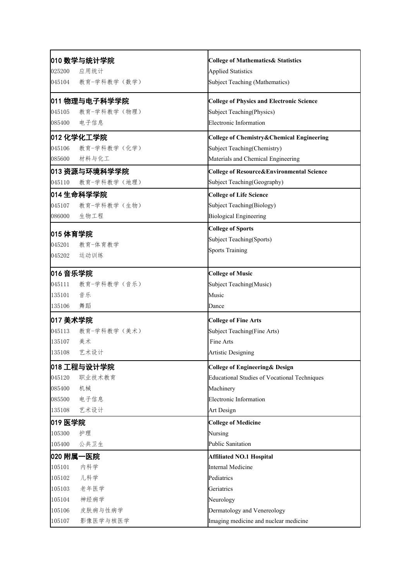| 010 数学与统计学院           | <b>College of Mathematics&amp; Statistics</b>    |
|-----------------------|--------------------------------------------------|
| 应用统计<br>025200        | <b>Applied Statistics</b>                        |
| 教育-学科教学(数学)<br>045104 | <b>Subject Teaching (Mathematics)</b>            |
| 011 物理与电子科学学院         | <b>College of Physics and Electronic Science</b> |
| 教育-学科教学(物理)<br>045105 | Subject Teaching(Physics)                        |
| 电子信息<br>085400        | <b>Electronic Information</b>                    |
| ◎012 化学化工学院           | College of Chemistry&Chemical Engineering        |
| 教育-学科教学(化学)<br>045106 | Subject Teaching(Chemistry)                      |
| 材料与化工<br>085600       | Materials and Chemical Engineering               |
| 013 资源与环境科学学院         | College of Resource&Environmental Science        |
| 045110<br>教育-学科教学(地理) | Subject Teaching(Geography)                      |
| Ⅰ014 生命科学学院           | <b>College of Life Science</b>                   |
| 045107<br>教育-学科教学(生物) | Subject Teaching(Biology)                        |
| 生物工程<br>086000        | <b>Biological Engineering</b>                    |
|                       | <b>College of Sports</b>                         |
| 015 体育学院<br>教育-体育教学   | Subject Teaching(Sports)                         |
| 045201<br>045202      | <b>Sports Training</b>                           |
| 运动训练                  |                                                  |
| 016 音乐学院              | <b>College of Music</b>                          |
| 045111 教育-学科教学 (音乐)   | Subject Teaching(Music)                          |
| 135101<br>音乐          | Music                                            |
| 舞蹈<br>135106          | Dance                                            |
| 017 美术学院              | <b>College of Fine Arts</b>                      |
| 045113 教育-学科教学 (美术)   | Subject Teaching(Fine Arts)                      |
| 135107 美术             | Fine Arts                                        |
| 艺术设计<br>135108        | <b>Artistic Designing</b>                        |
| 018 工程与设计学院           | College of Engineering & Design                  |
| 045120<br>职业技术教育      | Educational Studies of Vocational Techniques     |
| 085400<br>机械          | Machinery                                        |
| 电子信息<br>085500        | Electronic Information                           |
| 艺术设计<br>135108        | Art Design                                       |
| 019 医学院               | <b>College of Medicine</b>                       |
| 105300<br>护理          | Nursing                                          |
| 105400<br>公共卫生        | Public Sanitation                                |
| 020 附属一医院             | <b>Affiliated NO.1 Hospital</b>                  |
| 内科学<br>105101         | Internal Medicine                                |
| 105102<br>儿科学         | Pediatrics                                       |
| 老年医学<br>105103        | Geriatrics                                       |
| 神经病学<br>105104        | Neurology                                        |
| 105106<br>皮肤病与性病学     | Dermatology and Venereology                      |
| 影像医学与核医学<br>105107    | Imaging medicine and nuclear medicine            |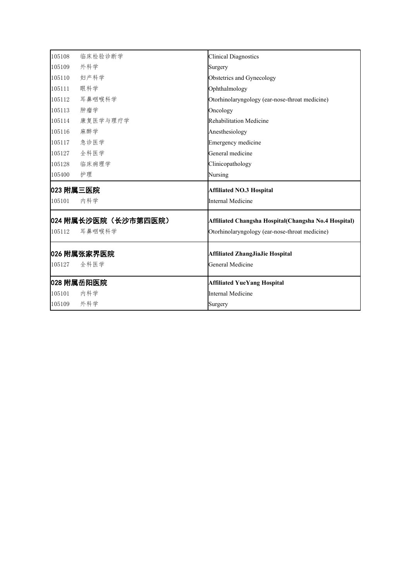| 105108 | 临床检验诊断学             | <b>Clinical Diagnostics</b>                                |
|--------|---------------------|------------------------------------------------------------|
| 105109 | 外科学                 | Surgery                                                    |
| 105110 | 妇产科学                | Obstetrics and Gynecology                                  |
| 105111 | 眼科学                 | Ophthalmology                                              |
| 105112 | 耳鼻咽喉科学              | Otorhinolaryngology (ear-nose-throat medicine)             |
| 105113 | 肿瘤学                 | Oncology                                                   |
| 105114 | 康复医学与理疗学            | Rehabilitation Medicine                                    |
| 105116 | 麻醉学                 | Anesthesiology                                             |
| 105117 | 急诊医学                | Emergency medicine                                         |
| 105127 | 全科医学                | General medicine                                           |
| 105128 | 临床病理学               | Clinicopathology                                           |
| 105400 | 护理                  | Nursing                                                    |
|        |                     |                                                            |
|        | 023 附属三医院           | <b>Affiliated NO.3 Hospital</b>                            |
| 105101 | 内科学                 | <b>Internal Medicine</b>                                   |
|        | 024 附属长沙医院(长沙市第四医院) | Affiliated Changsha Hospital(Changsha No.4 Hospital)       |
|        | 耳鼻咽喉科学              | Otorhinolaryngology (ear-nose-throat medicine)             |
| 105112 |                     |                                                            |
| 105127 | 026 附属张家界医院<br>全科医学 | <b>Affiliated ZhangJiaJie Hospital</b><br>General Medicine |
|        | 028 附属岳阳医院          | <b>Affiliated YueYang Hospital</b>                         |
| 105101 | 内科学                 | Internal Medicine                                          |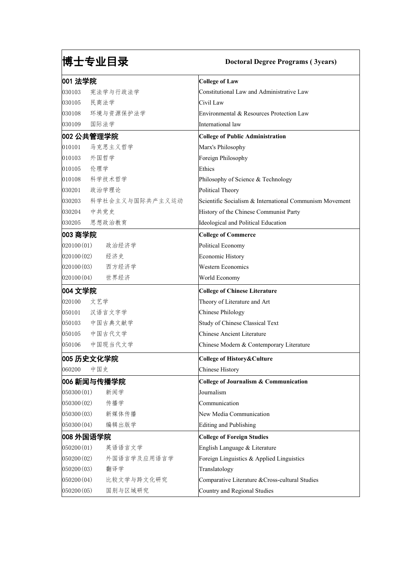# 博士专业目录 **Doctoral Degree Programs ( 3years)**

| 001 法学院              |                 | <b>College of Law</b>                                   |
|----------------------|-----------------|---------------------------------------------------------|
| 030103               | 宪法学与行政法学        | Constitutional Law and Administrative Law               |
| 030105               | 民商法学            | Civil Law                                               |
| 030108               | 环境与资源保护法学       | Environmental & Resources Protection Law                |
| 030109               | 国际法学            | International law                                       |
|                      | 002 公共管理学院      | College of Public Administration                        |
| 010101               | 马克思主义哲学         | Marx's Philosophy                                       |
| $ 010103\rangle$     | 外国哲学            | Foreign Philosophy                                      |
| 010105               | 伦理学             | Ethics                                                  |
| 010108               | 科学技术哲学          | Philosophy of Science & Technology                      |
| 030201               | 政治学理论           | Political Theory                                        |
| 030203               | 科学社会主义与国际共产主义运动 | Scientific Socialism & International Communism Movement |
| 030204               | 中共党史            | History of the Chinese Communist Party                  |
| 030205               | 思想政治教育          | Ideological and Political Education                     |
| 003 商学院              |                 | <b>College of Commerce</b>                              |
| 020100(01)           | 政治经济学           | Political Economy                                       |
| 020100(02)           | 经济史             | Economic History                                        |
| 020100(03)           | 西方经济学           | <b>Western Economics</b>                                |
| 020100(04)           | 世界经济            | World Economy                                           |
| 004 文学院              |                 | <b>College of Chinese Literature</b>                    |
| 020100               | 文艺学             | Theory of Literature and Art                            |
| 050101               | 汉语言文字学          | Chinese Philology                                       |
| 050103               | 中国古典文献学         | Study of Chinese Classical Text                         |
| 050105               | 中国古代文学          | Chinese Ancient Literature                              |
| 050106               | 中国现当代文学         | Chinese Modern & Contemporary Literature                |
|                      | 005 历史文化学院      | College of History&Culture                              |
| 060200               | 中国史             | Chinese History                                         |
|                      | 006 新闻与传播学院     | College of Journalism & Communication                   |
| $ 050300(01)\rangle$ | 新闻学             | Journalism                                              |
| 050300(02)           | 传播学             | Communication                                           |
| 050300(03)           | 新媒体传播           | New Media Communication                                 |
| 050300(04)           | 编辑出版学           | Editing and Publishing                                  |
| 008 外国语学院            |                 | <b>College of Foreign Studies</b>                       |
| $ 050200(01)\rangle$ | 英语语言文学          | English Language & Literature                           |
| 050200(02)           | 外国语言学及应用语言学     | Foreign Linguistics & Applied Linguistics               |
| 050200(03)           | 翻译学             | Translatology                                           |
| 050200(04)           | 比较文学与跨文化研究      | Comparative Literature & Cross-cultural Studies         |
| 050200(05)           | 国别与区域研究         | Country and Regional Studies                            |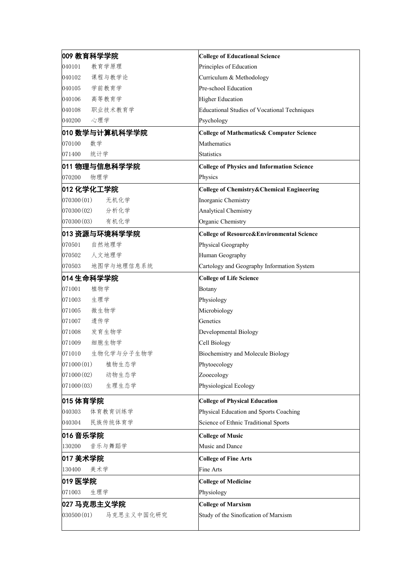| 009 教育科学学院               | <b>College of Educational Science</b>                |
|--------------------------|------------------------------------------------------|
| 教育学原理<br>040101          | Principles of Education                              |
| 课程与教学论<br>040102         | Curriculum & Methodology                             |
| 学前教育学<br>040105          | Pre-school Education                                 |
| 高等教育学<br>040106          | Higher Education                                     |
| 职业技术教育学<br>040108        | Educational Studies of Vocational Techniques         |
| 心理学<br>040200            | Psychology                                           |
| 010 数学与计算机科学学院           | <b>College of Mathematics&amp; Computer Science</b>  |
| 070100<br>数学             | Mathematics                                          |
| 统计学<br>071400            | <b>Statistics</b>                                    |
| 011 物理与信息科学学院            | <b>College of Physics and Information Science</b>    |
| 070200<br>物理学            | Physics                                              |
| 012 化学化工学院               | <b>College of Chemistry&amp;Chemical Engineering</b> |
| 070300(01) <br>无机化学      | Inorganic Chemistry                                  |
| 070300(02) <br>分析化学      | <b>Analytical Chemistry</b>                          |
| 070300(03) <br>有机化学      | Organic Chemistry                                    |
| 013 资源与环境科学学院            | <b>College of Resource&amp;Environmental Science</b> |
| 自然地理学<br>070501          | Physical Geography                                   |
| 人文地理学<br>070502          | Human Geography                                      |
| 地图学与地理信息系统<br>070503     | Cartology and Geography Information System           |
| 014 生命科学学院               | <b>College of Life Science</b>                       |
| 植物学<br>071001            | Botany                                               |
| 生理学<br>071003            | Physiology                                           |
| 微生物学<br>071005           | Microbiology                                         |
| 遗传学<br>071007            | Genetics                                             |
| 发育生物学<br>071008          | Developmental Biology                                |
| 细胞生物学<br>071009          | Cell Biology                                         |
| 生物化学与分子生物学<br>071010     | Biochemistry and Molecule Biology                    |
| 071000(01) <br>植物生态学     | Phytoecology                                         |
| 071000(02) <br>动物生态学     | Zooecology                                           |
| 071000(03) <br>生理生态学     | Physiological Ecology                                |
| 015 体育学院                 | <b>College of Physical Education</b>                 |
| 体育教育训练学<br>040303        | Physical Education and Sports Coaching               |
| 民族传统体育学<br>040304        | Science of Ethnic Traditional Sports                 |
| 016 音乐学院                 | <b>College of Music</b>                              |
| 130200<br>音乐与舞蹈学         | Music and Dance                                      |
| 017 美术学院                 | <b>College of Fine Arts</b>                          |
| 130400<br>美术学            | Fine Arts                                            |
| 019 医学院                  | <b>College of Medicine</b>                           |
| 071003<br>生理学            | Physiology                                           |
| 027 马克思主义学院              | <b>College of Marxism</b>                            |
| 030500(01)<br>马克思主义中国化研究 | Study of the Sinofication of Marxism                 |
|                          |                                                      |